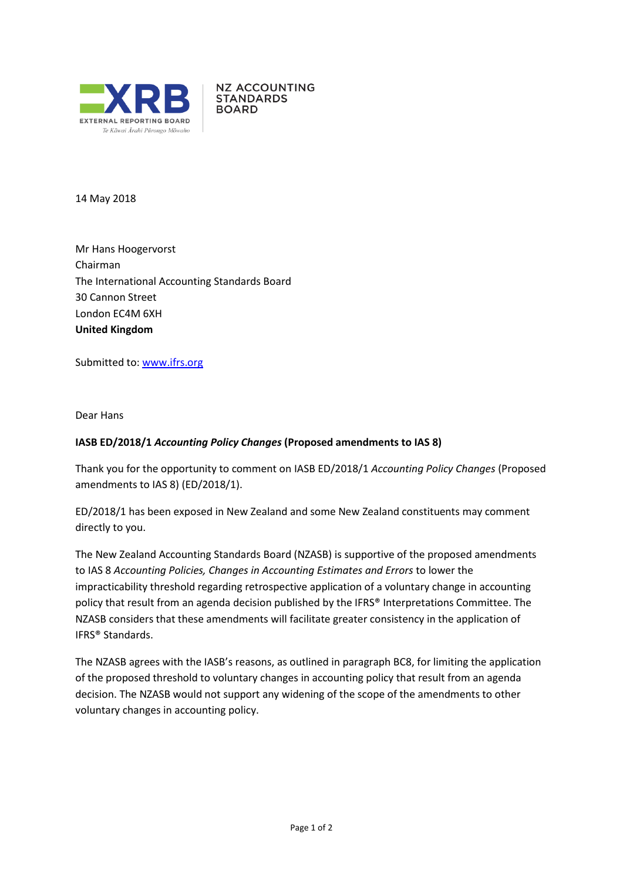

**NZ ACCOUNTING STANDARDS BOARD** 

14 May 2018

Mr Hans Hoogervorst Chairman The International Accounting Standards Board 30 Cannon Street London EC4M 6XH **United Kingdom**

Submitted to: [www.ifrs.org](http://www.ifrs.org/)

Dear Hans

## **IASB ED/2018/1** *Accounting Policy Changes* **(Proposed amendments to IAS 8)**

Thank you for the opportunity to comment on IASB ED/2018/1 *Accounting Policy Changes* (Proposed amendments to IAS 8) (ED/2018/1).

ED/2018/1 has been exposed in New Zealand and some New Zealand constituents may comment directly to you.

The New Zealand Accounting Standards Board (NZASB) is supportive of the proposed amendments to IAS 8 *Accounting Policies, Changes in Accounting Estimates and Errors* to lower the impracticability threshold regarding retrospective application of a voluntary change in accounting policy that result from an agenda decision published by the IFRS® Interpretations Committee. The NZASB considers that these amendments will facilitate greater consistency in the application of IFRS® Standards.

The NZASB agrees with the IASB's reasons, as outlined in paragraph BC8, for limiting the application of the proposed threshold to voluntary changes in accounting policy that result from an agenda decision. The NZASB would not support any widening of the scope of the amendments to other voluntary changes in accounting policy.